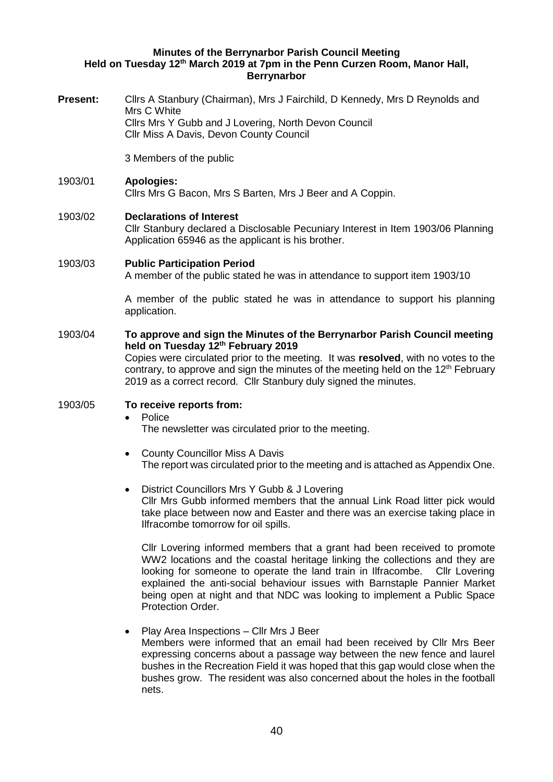#### **Minutes of the Berrynarbor Parish Council Meeting Held on Tuesday 12th March 2019 at 7pm in the Penn Curzen Room, Manor Hall, Berrynarbor**

**Present:** Cllrs A Stanbury (Chairman), Mrs J Fairchild, D Kennedy, Mrs D Reynolds and Mrs C White Cllrs Mrs Y Gubb and J Lovering, North Devon Council Cllr Miss A Davis, Devon County Council

3 Members of the public

# 1903/01 **Apologies:** Cllrs Mrs G Bacon, Mrs S Barten, Mrs J Beer and A Coppin.

## 1903/02 **Declarations of Interest**

Cllr Stanbury declared a Disclosable Pecuniary Interest in Item 1903/06 Planning Application 65946 as the applicant is his brother.

### 1903/03 **Public Participation Period**

A member of the public stated he was in attendance to support item 1903/10

A member of the public stated he was in attendance to support his planning application.

## 1903/04 **To approve and sign the Minutes of the Berrynarbor Parish Council meeting held on Tuesday 12th February 2019**

Copies were circulated prior to the meeting. It was **resolved**, with no votes to the contrary, to approve and sign the minutes of the meeting held on the  $12<sup>th</sup>$  February 2019 as a correct record. Cllr Stanbury duly signed the minutes.

## 1903/05 **To receive reports from:**

• Police

The newsletter was circulated prior to the meeting.

- County Councillor Miss A Davis The report was circulated prior to the meeting and is attached as Appendix One.
- District Councillors Mrs Y Gubb & J Lovering Cllr Mrs Gubb informed members that the annual Link Road litter pick would take place between now and Easter and there was an exercise taking place in Ilfracombe tomorrow for oil spills.

Cllr Lovering informed members that a grant had been received to promote WW2 locations and the coastal heritage linking the collections and they are looking for someone to operate the land train in Ilfracombe. Cllr Lovering explained the anti-social behaviour issues with Barnstaple Pannier Market being open at night and that NDC was looking to implement a Public Space Protection Order.

• Play Area Inspections – Cllr Mrs J Beer Members were informed that an email had been received by Cllr Mrs Beer expressing concerns about a passage way between the new fence and laurel bushes in the Recreation Field it was hoped that this gap would close when the bushes grow. The resident was also concerned about the holes in the football nets.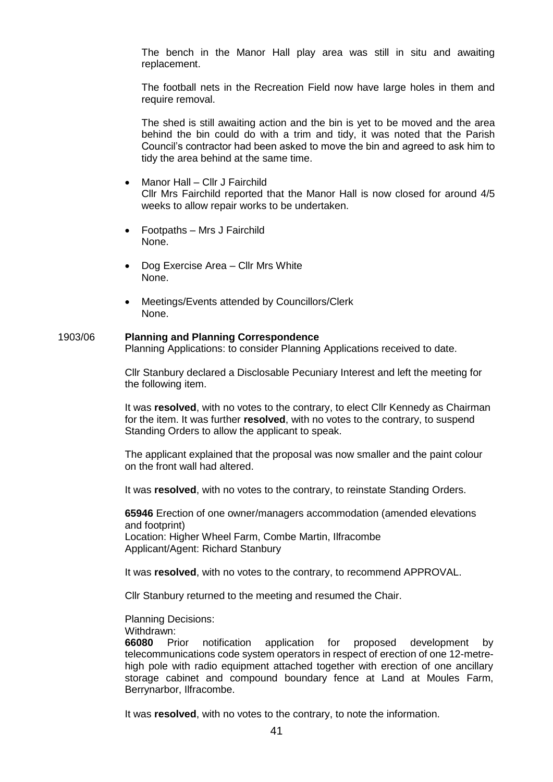The bench in the Manor Hall play area was still in situ and awaiting replacement.

The football nets in the Recreation Field now have large holes in them and require removal.

The shed is still awaiting action and the bin is yet to be moved and the area behind the bin could do with a trim and tidy, it was noted that the Parish Council's contractor had been asked to move the bin and agreed to ask him to tidy the area behind at the same time.

- Manor Hall Cllr J Fairchild Cllr Mrs Fairchild reported that the Manor Hall is now closed for around 4/5 weeks to allow repair works to be undertaken.
- Footpaths Mrs J Fairchild None.
- Dog Exercise Area Cllr Mrs White None.
- Meetings/Events attended by Councillors/Clerk None.

#### 1903/06 **Planning and Planning Correspondence**

Planning Applications: to consider Planning Applications received to date.

Cllr Stanbury declared a Disclosable Pecuniary Interest and left the meeting for the following item.

It was **resolved**, with no votes to the contrary, to elect Cllr Kennedy as Chairman for the item. It was further **resolved**, with no votes to the contrary, to suspend Standing Orders to allow the applicant to speak.

The applicant explained that the proposal was now smaller and the paint colour on the front wall had altered.

It was **resolved**, with no votes to the contrary, to reinstate Standing Orders.

**65946** Erection of one owner/managers accommodation (amended elevations and footprint) Location: Higher Wheel Farm, Combe Martin, Ilfracombe Applicant/Agent: Richard Stanbury

It was **resolved**, with no votes to the contrary, to recommend APPROVAL.

Cllr Stanbury returned to the meeting and resumed the Chair.

Planning Decisions:

Withdrawn:

**66080** Prior notification application for proposed development by telecommunications code system operators in respect of erection of one 12-metrehigh pole with radio equipment attached together with erection of one ancillary storage cabinet and compound boundary fence at Land at Moules Farm, Berrynarbor, Ilfracombe.

It was **resolved**, with no votes to the contrary, to note the information.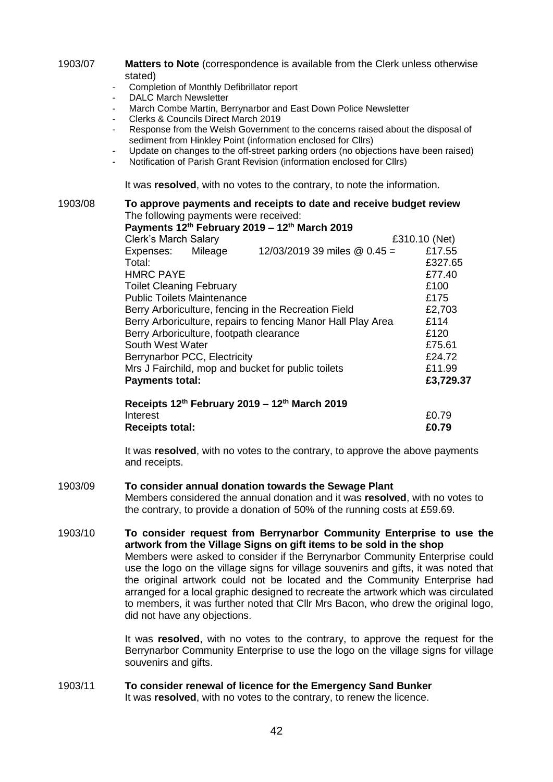1903/07 **Matters to Note** (correspondence is available from the Clerk unless otherwise stated)

- Completion of Monthly Defibrillator report
- DALC March Newsletter
- March Combe Martin, Berrynarbor and East Down Police Newsletter
- Clerks & Councils Direct March 2019
- Response from the Welsh Government to the concerns raised about the disposal of sediment from Hinkley Point (information enclosed for Cllrs)
- Update on changes to the off-street parking orders (no objections have been raised)
- Notification of Parish Grant Revision (information enclosed for Cllrs)

It was **resolved**, with no votes to the contrary, to note the information.

1903/08 **To approve payments and receipts to date and receive budget review** The following payments were received:

|                                                              |  | Payments 12th February 2019 - 12th March 2019 |               |  |
|--------------------------------------------------------------|--|-----------------------------------------------|---------------|--|
| <b>Clerk's March Salary</b>                                  |  |                                               | £310.10 (Net) |  |
| Expenses: Mileage                                            |  | 12/03/2019 39 miles @ 0.45 =                  | £17.55        |  |
| Total:                                                       |  |                                               | £327.65       |  |
| <b>HMRC PAYE</b>                                             |  |                                               | £77.40        |  |
| <b>Toilet Cleaning February</b>                              |  |                                               | £100          |  |
| <b>Public Toilets Maintenance</b>                            |  |                                               | £175          |  |
| Berry Arboriculture, fencing in the Recreation Field         |  |                                               | £2,703        |  |
| Berry Arboriculture, repairs to fencing Manor Hall Play Area |  |                                               | £114          |  |
| Berry Arboriculture, footpath clearance                      |  |                                               | £120          |  |
| South West Water                                             |  |                                               | £75.61        |  |
| Berrynarbor PCC, Electricity                                 |  |                                               | £24.72        |  |
| Mrs J Fairchild, mop and bucket for public toilets           |  |                                               | £11.99        |  |
| <b>Payments total:</b>                                       |  |                                               | £3,729.37     |  |
|                                                              |  | Receipts 12th February 2019 - 12th March 2019 |               |  |
| Interest                                                     |  |                                               | £0.79         |  |

It was **resolved**, with no votes to the contrary, to approve the above payments and receipts.

**Receipts total: £0.79**

1903/09 **To consider annual donation towards the Sewage Plant** Members considered the annual donation and it was **resolved**, with no votes to the contrary, to provide a donation of 50% of the running costs at £59.69.

1903/10 **To consider request from Berrynarbor Community Enterprise to use the artwork from the Village Signs on gift items to be sold in the shop** Members were asked to consider if the Berrynarbor Community Enterprise could use the logo on the village signs for village souvenirs and gifts, it was noted that the original artwork could not be located and the Community Enterprise had arranged for a local graphic designed to recreate the artwork which was circulated to members, it was further noted that Cllr Mrs Bacon, who drew the original logo, did not have any objections.

> It was **resolved**, with no votes to the contrary, to approve the request for the Berrynarbor Community Enterprise to use the logo on the village signs for village souvenirs and gifts.

1903/11 **To consider renewal of licence for the Emergency Sand Bunker** It was **resolved**, with no votes to the contrary, to renew the licence.